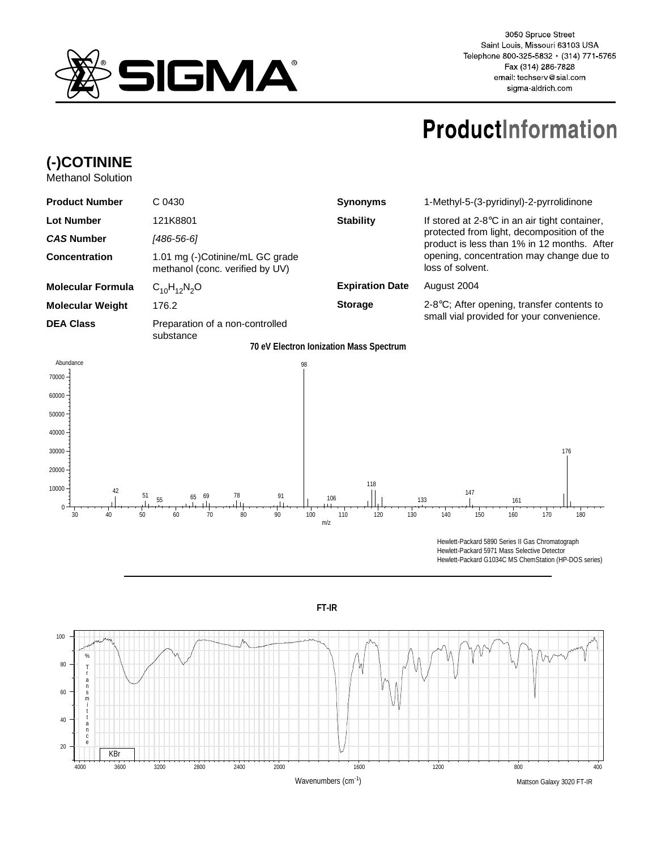

3050 Spruce Street Saint Louis, Missouri 63103 USA Telephone 800-325-5832 · (314) 771-5765 Fax (314) 286-7828 email: techserv@sial.com sigma-aldrich.com

## **ProductInformation**

## **(-)COTININE**

Methanol Solution

| <b>Product Number</b>    | C 0430                                                             | <b>Synonyms</b>        | 1-Methyl-5-(3-pyridinyl)-2-pyrrolidinone                                                                                                                                                                      |
|--------------------------|--------------------------------------------------------------------|------------------------|---------------------------------------------------------------------------------------------------------------------------------------------------------------------------------------------------------------|
| <b>Lot Number</b>        | 121K8801                                                           | <b>Stability</b>       | If stored at $2-8$ °C in an air tight container,<br>protected from light, decomposition of the<br>product is less than 1% in 12 months. After<br>opening, concentration may change due to<br>loss of solvent. |
| <b>CAS Number</b>        | [486-56-6]                                                         |                        |                                                                                                                                                                                                               |
| Concentration            | 1.01 mg (-)Cotinine/mL GC grade<br>methanol (conc. verified by UV) |                        |                                                                                                                                                                                                               |
| <b>Molecular Formula</b> | $C_{10}H_{12}N_2O$                                                 | <b>Expiration Date</b> | August 2004                                                                                                                                                                                                   |
| <b>Molecular Weight</b>  | 176.2                                                              | <b>Storage</b>         | $2-8$ °C; After opening, transfer contents to<br>small vial provided for your convenience.                                                                                                                    |
| <b>DEA Class</b>         | Preparation of a non-controlled<br>substance                       |                        |                                                                                                                                                                                                               |

**70 eV Electron Ionization Mass Spectrum**



Hewlett-Packard G1034C MS ChemStation (HP-DOS series)



**FT-IR**